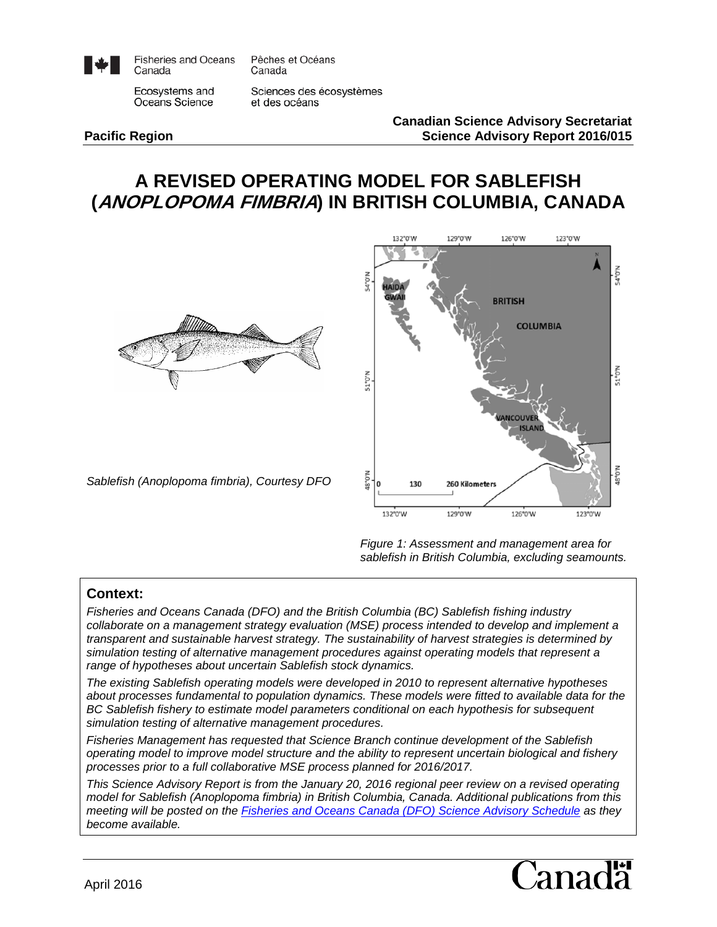

**Fisheries and Oceans** Canada

Pêches et Océans Canada

Ecosystems and Oceans Science

Sciences des écosystèmes et des océans

#### **Canadian Science Advisory Secretariat Pacific Region Science Advisory Report 2016/015**

# **A REVISED OPERATING MODEL FOR SABLEFISH (ANOPLOPOMA FIMBRIA) IN BRITISH COLUMBIA, CANADA**



*Sablefish (Anoplopoma fimbria), Courtesy DFO*



*Figure 1: Assessment and management area for sablefish in British Columbia, excluding seamounts.*

#### **Context:**

*Fisheries and Oceans Canada (DFO) and the British Columbia (BC) Sablefish fishing industry collaborate on a management strategy evaluation (MSE) process intended to develop and implement a transparent and sustainable harvest strategy. The sustainability of harvest strategies is determined by simulation testing of alternative management procedures against operating models that represent a range of hypotheses about uncertain Sablefish stock dynamics.* 

*The existing Sablefish operating models were developed in 2010 to represent alternative hypotheses about processes fundamental to population dynamics. These models were fitted to available data for the BC Sablefish fishery to estimate model parameters conditional on each hypothesis for subsequent simulation testing of alternative management procedures.*

*Fisheries Management has requested that Science Branch continue development of the Sablefish operating model to improve model structure and the ability to represent uncertain biological and fishery processes prior to a full collaborative MSE process planned for 2016/2017.*

*This Science Advisory Report is from the January 20, 2016 regional peer review on a revised operating model for Sablefish (Anoplopoma fimbria) in British Columbia, Canada. Additional publications from this meeting will be posted on the [Fisheries and Oceans Canada \(DFO\) Science Advisory Schedule](http://www.isdm-gdsi.gc.ca/csas-sccs/applications/events-evenements/index-eng.asp) as they become available.*

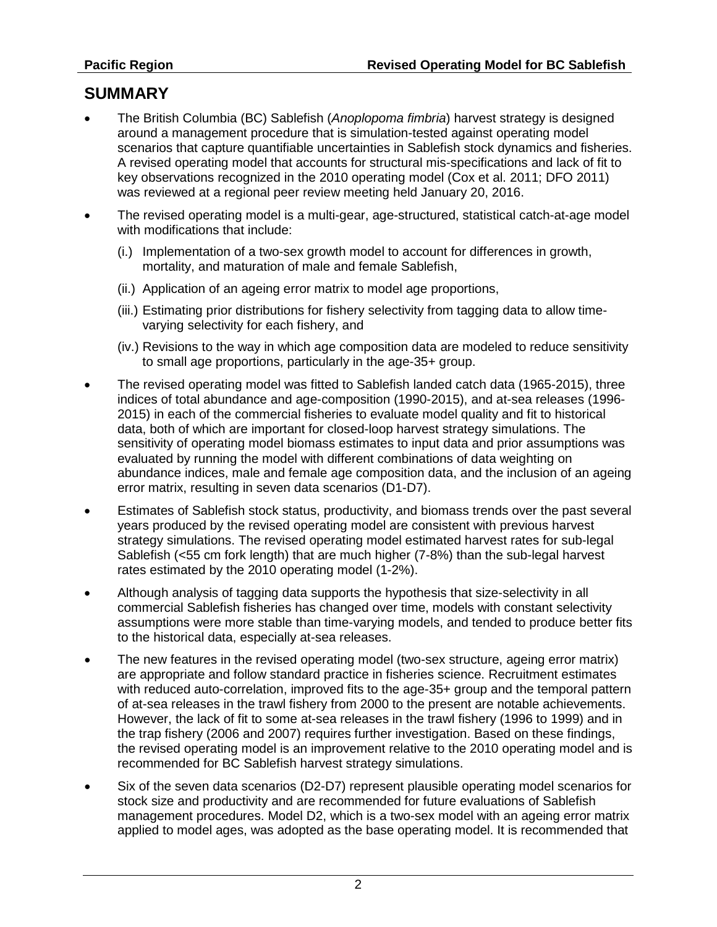## **SUMMARY**

- The British Columbia (BC) Sablefish (*Anoplopoma fimbria*) harvest strategy is designed around a management procedure that is simulation-tested against operating model scenarios that capture quantifiable uncertainties in Sablefish stock dynamics and fisheries. A revised operating model that accounts for structural mis-specifications and lack of fit to key observations recognized in the 2010 operating model (Cox et al. 2011; DFO 2011) was reviewed at a regional peer review meeting held January 20, 2016.
- The revised operating model is a multi-gear, age-structured, statistical catch-at-age model with modifications that include:
	- (i.) Implementation of a two-sex growth model to account for differences in growth, mortality, and maturation of male and female Sablefish,
	- (ii.) Application of an ageing error matrix to model age proportions,
	- (iii.) Estimating prior distributions for fishery selectivity from tagging data to allow timevarying selectivity for each fishery, and
	- (iv.) Revisions to the way in which age composition data are modeled to reduce sensitivity to small age proportions, particularly in the age-35+ group.
- The revised operating model was fitted to Sablefish landed catch data (1965-2015), three indices of total abundance and age-composition (1990-2015), and at-sea releases (1996- 2015) in each of the commercial fisheries to evaluate model quality and fit to historical data, both of which are important for closed-loop harvest strategy simulations. The sensitivity of operating model biomass estimates to input data and prior assumptions was evaluated by running the model with different combinations of data weighting on abundance indices, male and female age composition data, and the inclusion of an ageing error matrix, resulting in seven data scenarios (D1-D7).
- Estimates of Sablefish stock status, productivity, and biomass trends over the past several years produced by the revised operating model are consistent with previous harvest strategy simulations. The revised operating model estimated harvest rates for sub-legal Sablefish (<55 cm fork length) that are much higher (7-8%) than the sub-legal harvest rates estimated by the 2010 operating model (1-2%).
- Although analysis of tagging data supports the hypothesis that size-selectivity in all commercial Sablefish fisheries has changed over time, models with constant selectivity assumptions were more stable than time-varying models, and tended to produce better fits to the historical data, especially at-sea releases.
- The new features in the revised operating model (two-sex structure, ageing error matrix) are appropriate and follow standard practice in fisheries science. Recruitment estimates with reduced auto-correlation, improved fits to the age-35+ group and the temporal pattern of at-sea releases in the trawl fishery from 2000 to the present are notable achievements. However, the lack of fit to some at-sea releases in the trawl fishery (1996 to 1999) and in the trap fishery (2006 and 2007) requires further investigation. Based on these findings, the revised operating model is an improvement relative to the 2010 operating model and is recommended for BC Sablefish harvest strategy simulations.
- Six of the seven data scenarios (D2-D7) represent plausible operating model scenarios for stock size and productivity and are recommended for future evaluations of Sablefish management procedures. Model D2, which is a two-sex model with an ageing error matrix applied to model ages, was adopted as the base operating model. It is recommended that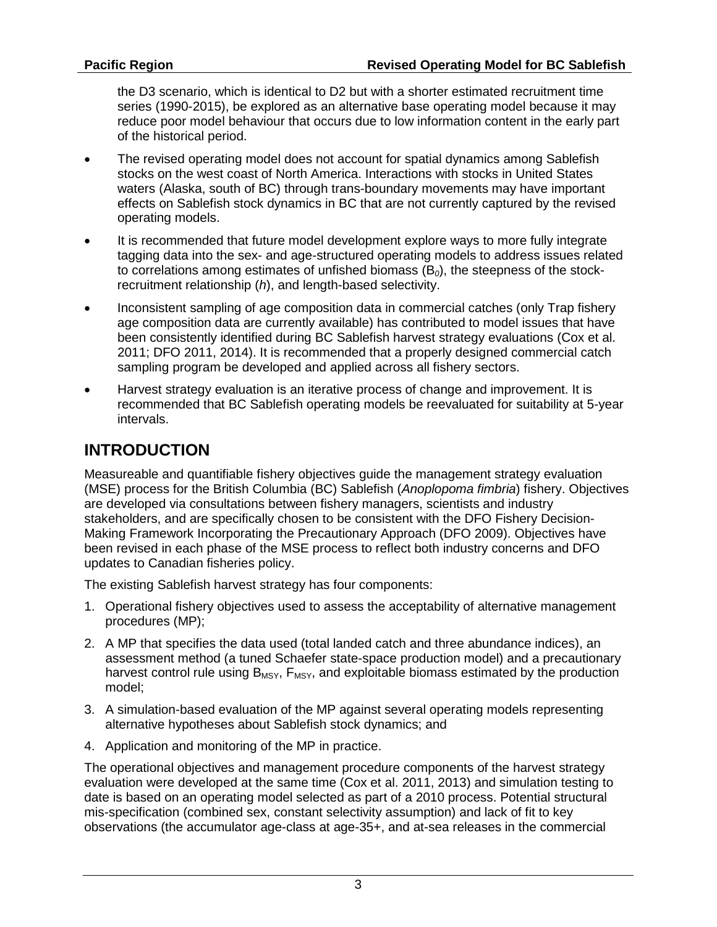the D3 scenario, which is identical to D2 but with a shorter estimated recruitment time series (1990-2015), be explored as an alternative base operating model because it may reduce poor model behaviour that occurs due to low information content in the early part of the historical period.

- The revised operating model does not account for spatial dynamics among Sablefish stocks on the west coast of North America. Interactions with stocks in United States waters (Alaska, south of BC) through trans-boundary movements may have important effects on Sablefish stock dynamics in BC that are not currently captured by the revised operating models.
- It is recommended that future model development explore ways to more fully integrate tagging data into the sex- and age-structured operating models to address issues related to correlations among estimates of unfished biomass (B*0*), the steepness of the stockrecruitment relationship (*h*), and length-based selectivity.
- Inconsistent sampling of age composition data in commercial catches (only Trap fishery age composition data are currently available) has contributed to model issues that have been consistently identified during BC Sablefish harvest strategy evaluations (Cox et al. 2011; DFO 2011, 2014). It is recommended that a properly designed commercial catch sampling program be developed and applied across all fishery sectors.
- Harvest strategy evaluation is an iterative process of change and improvement. It is recommended that BC Sablefish operating models be reevaluated for suitability at 5-year intervals.

# **INTRODUCTION**

Measureable and quantifiable fishery objectives guide the management strategy evaluation (MSE) process for the British Columbia (BC) Sablefish (*Anoplopoma fimbria*) fishery. Objectives are developed via consultations between fishery managers, scientists and industry stakeholders, and are specifically chosen to be consistent with the DFO Fishery Decision-Making Framework Incorporating the Precautionary Approach (DFO 2009). Objectives have been revised in each phase of the MSE process to reflect both industry concerns and DFO updates to Canadian fisheries policy.

The existing Sablefish harvest strategy has four components:

- 1. Operational fishery objectives used to assess the acceptability of alternative management procedures (MP);
- 2. A MP that specifies the data used (total landed catch and three abundance indices), an assessment method (a tuned Schaefer state-space production model) and a precautionary harvest control rule using  $B_{MSY}$ ,  $F_{MSY}$ , and exploitable biomass estimated by the production model;
- 3. A simulation-based evaluation of the MP against several operating models representing alternative hypotheses about Sablefish stock dynamics; and
- 4. Application and monitoring of the MP in practice.

The operational objectives and management procedure components of the harvest strategy evaluation were developed at the same time (Cox et al. 2011, 2013) and simulation testing to date is based on an operating model selected as part of a 2010 process. Potential structural mis-specification (combined sex, constant selectivity assumption) and lack of fit to key observations (the accumulator age-class at age-35+, and at-sea releases in the commercial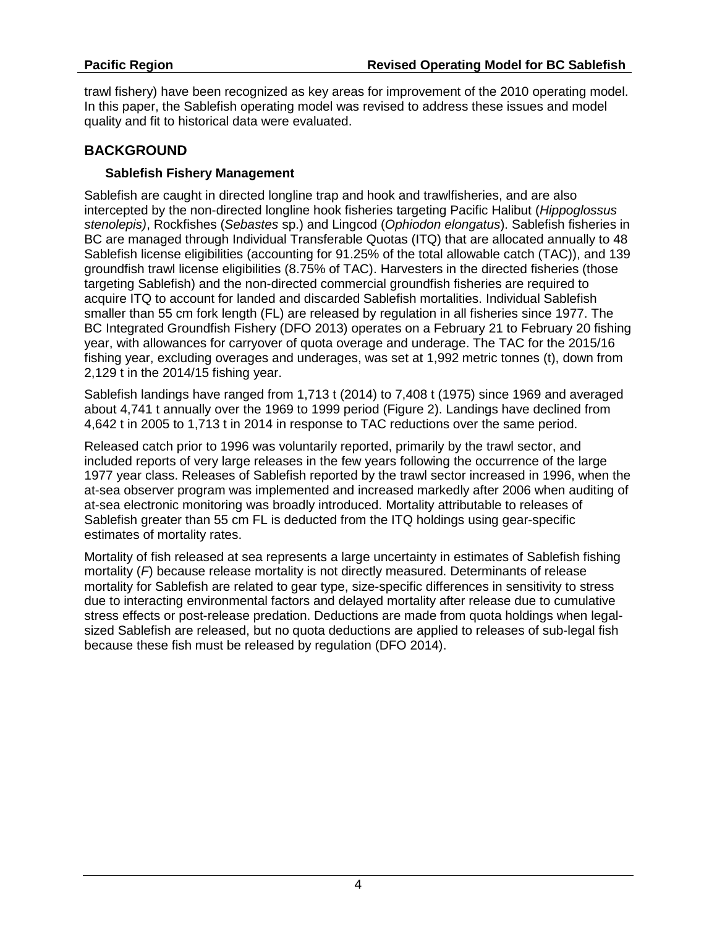trawl fishery) have been recognized as key areas for improvement of the 2010 operating model. In this paper, the Sablefish operating model was revised to address these issues and model quality and fit to historical data were evaluated.

#### **BACKGROUND**

#### **Sablefish Fishery Management**

Sablefish are caught in directed longline trap and hook and trawlfisheries, and are also intercepted by the non-directed longline hook fisheries targeting Pacific Halibut (*Hippoglossus stenolepis)*, Rockfishes (*Sebastes* sp.) and Lingcod (*Ophiodon elongatus*). Sablefish fisheries in BC are managed through Individual Transferable Quotas (ITQ) that are allocated annually to 48 Sablefish license eligibilities (accounting for 91.25% of the total allowable catch (TAC)), and 139 groundfish trawl license eligibilities (8.75% of TAC). Harvesters in the directed fisheries (those targeting Sablefish) and the non-directed commercial groundfish fisheries are required to acquire ITQ to account for landed and discarded Sablefish mortalities. Individual Sablefish smaller than 55 cm fork length (FL) are released by regulation in all fisheries since 1977. The BC Integrated Groundfish Fishery (DFO 2013) operates on a February 21 to February 20 fishing year, with allowances for carryover of quota overage and underage. The TAC for the 2015/16 fishing year, excluding overages and underages, was set at 1,992 metric tonnes (t), down from 2,129 t in the 2014/15 fishing year.

Sablefish landings have ranged from 1,713 t (2014) to 7,408 t (1975) since 1969 and averaged about 4,741 t annually over the 1969 to 1999 period (Figure 2). Landings have declined from 4,642 t in 2005 to 1,713 t in 2014 in response to TAC reductions over the same period.

Released catch prior to 1996 was voluntarily reported, primarily by the trawl sector, and included reports of very large releases in the few years following the occurrence of the large 1977 year class. Releases of Sablefish reported by the trawl sector increased in 1996, when the at-sea observer program was implemented and increased markedly after 2006 when auditing of at-sea electronic monitoring was broadly introduced. Mortality attributable to releases of Sablefish greater than 55 cm FL is deducted from the ITQ holdings using gear-specific estimates of mortality rates.

Mortality of fish released at sea represents a large uncertainty in estimates of Sablefish fishing mortality (*F*) because release mortality is not directly measured. Determinants of release mortality for Sablefish are related to gear type, size-specific differences in sensitivity to stress due to interacting environmental factors and delayed mortality after release due to cumulative stress effects or post-release predation. Deductions are made from quota holdings when legalsized Sablefish are released, but no quota deductions are applied to releases of sub-legal fish because these fish must be released by regulation (DFO 2014).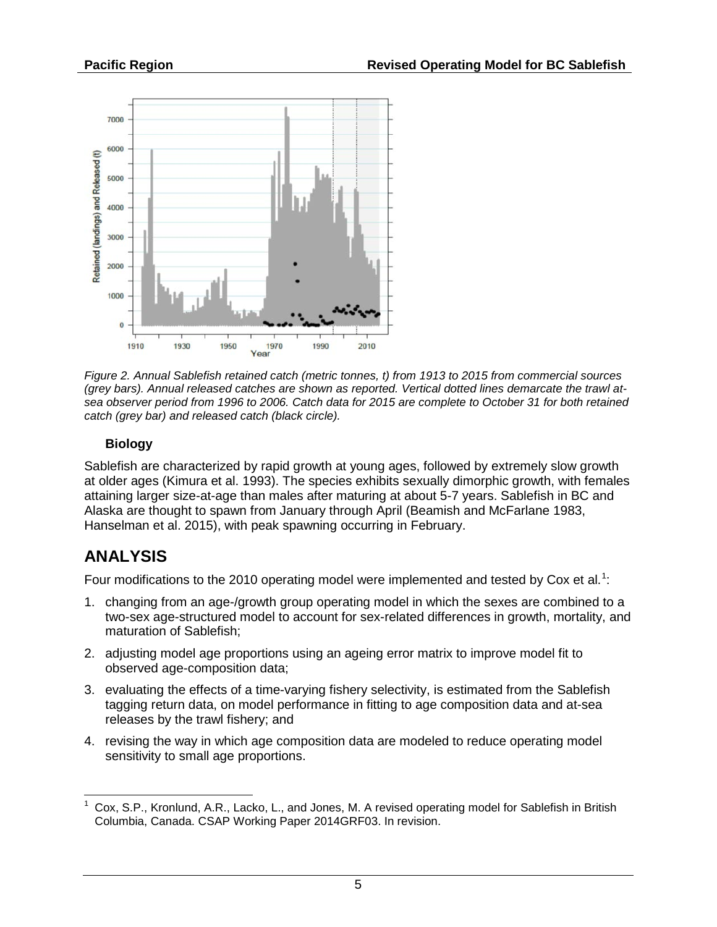

*Figure 2. Annual Sablefish retained catch (metric tonnes, t) from 1913 to 2015 from commercial sources (grey bars). Annual released catches are shown as reported. Vertical dotted lines demarcate the trawl atsea observer period from 1996 to 2006. Catch data for 2015 are complete to October 31 for both retained catch (grey bar) and released catch (black circle).* 

### **Biology**

Sablefish are characterized by rapid growth at young ages, followed by extremely slow growth at older ages (Kimura et al. 1993). The species exhibits sexually dimorphic growth, with females attaining larger size-at-age than males after maturing at about 5-7 years. Sablefish in BC and Alaska are thought to spawn from January through April (Beamish and McFarlane 1983, Hanselman et al. 2015), with peak spawning occurring in February.

# **ANALYSIS**

Four modifications to the 20[1](#page-4-0)0 operating model were implemented and tested by Cox et al.<sup>1</sup>:

- 1. changing from an age-/growth group operating model in which the sexes are combined to a two-sex age-structured model to account for sex-related differences in growth, mortality, and maturation of Sablefish;
- 2. adjusting model age proportions using an ageing error matrix to improve model fit to observed age-composition data;
- 3. evaluating the effects of a time-varying fishery selectivity, is estimated from the Sablefish tagging return data, on model performance in fitting to age composition data and at-sea releases by the trawl fishery; and
- 4. revising the way in which age composition data are modeled to reduce operating model sensitivity to small age proportions.

<span id="page-4-0"></span> <sup>1</sup> Cox, S.P., Kronlund, A.R., Lacko, L., and Jones, M. A revised operating model for Sablefish in British Columbia, Canada. CSAP Working Paper 2014GRF03. In revision.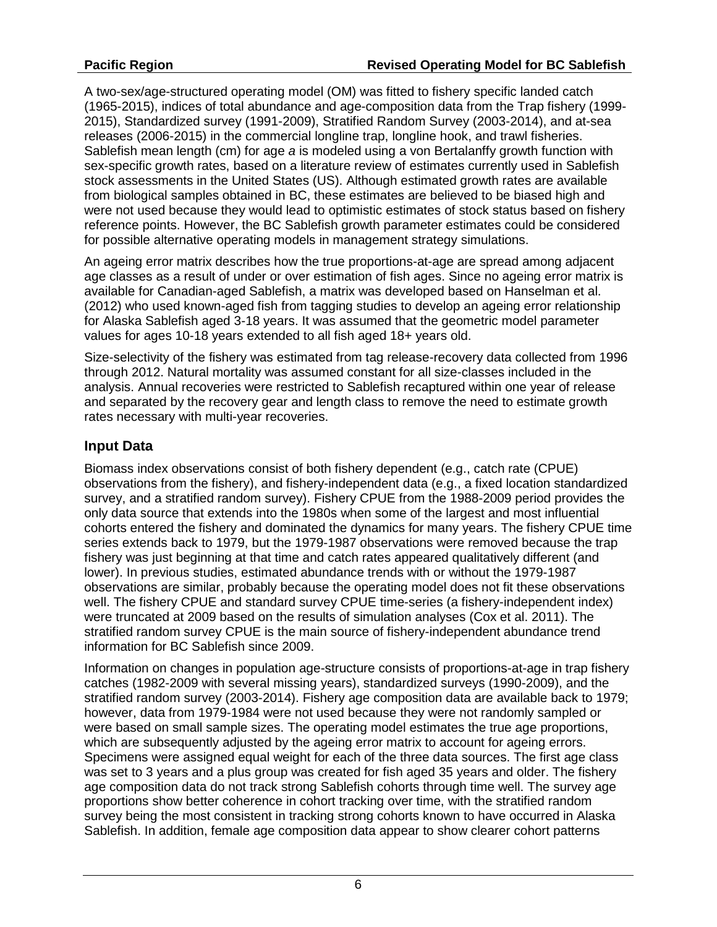A two-sex/age-structured operating model (OM) was fitted to fishery specific landed catch (1965-2015), indices of total abundance and age-composition data from the Trap fishery (1999- 2015), Standardized survey (1991-2009), Stratified Random Survey (2003-2014), and at-sea releases (2006-2015) in the commercial longline trap, longline hook, and trawl fisheries. Sablefish mean length (cm) for age *a* is modeled using a von Bertalanffy growth function with sex-specific growth rates, based on a literature review of estimates currently used in Sablefish stock assessments in the United States (US). Although estimated growth rates are available from biological samples obtained in BC, these estimates are believed to be biased high and were not used because they would lead to optimistic estimates of stock status based on fishery reference points. However, the BC Sablefish growth parameter estimates could be considered for possible alternative operating models in management strategy simulations.

An ageing error matrix describes how the true proportions-at-age are spread among adjacent age classes as a result of under or over estimation of fish ages. Since no ageing error matrix is available for Canadian-aged Sablefish, a matrix was developed based on Hanselman et al. (2012) who used known-aged fish from tagging studies to develop an ageing error relationship for Alaska Sablefish aged 3-18 years. It was assumed that the geometric model parameter values for ages 10-18 years extended to all fish aged 18+ years old.

Size-selectivity of the fishery was estimated from tag release-recovery data collected from 1996 through 2012. Natural mortality was assumed constant for all size-classes included in the analysis. Annual recoveries were restricted to Sablefish recaptured within one year of release and separated by the recovery gear and length class to remove the need to estimate growth rates necessary with multi-year recoveries.

### **Input Data**

Biomass index observations consist of both fishery dependent (e.g., catch rate (CPUE) observations from the fishery), and fishery-independent data (e.g., a fixed location standardized survey, and a stratified random survey). Fishery CPUE from the 1988-2009 period provides the only data source that extends into the 1980s when some of the largest and most influential cohorts entered the fishery and dominated the dynamics for many years. The fishery CPUE time series extends back to 1979, but the 1979-1987 observations were removed because the trap fishery was just beginning at that time and catch rates appeared qualitatively different (and lower). In previous studies, estimated abundance trends with or without the 1979-1987 observations are similar, probably because the operating model does not fit these observations well. The fishery CPUE and standard survey CPUE time-series (a fishery-independent index) were truncated at 2009 based on the results of simulation analyses (Cox et al. 2011). The stratified random survey CPUE is the main source of fishery-independent abundance trend information for BC Sablefish since 2009.

Information on changes in population age-structure consists of proportions-at-age in trap fishery catches (1982-2009 with several missing years), standardized surveys (1990-2009), and the stratified random survey (2003-2014). Fishery age composition data are available back to 1979; however, data from 1979-1984 were not used because they were not randomly sampled or were based on small sample sizes. The operating model estimates the true age proportions, which are subsequently adjusted by the ageing error matrix to account for ageing errors. Specimens were assigned equal weight for each of the three data sources. The first age class was set to 3 years and a plus group was created for fish aged 35 years and older. The fishery age composition data do not track strong Sablefish cohorts through time well. The survey age proportions show better coherence in cohort tracking over time, with the stratified random survey being the most consistent in tracking strong cohorts known to have occurred in Alaska Sablefish. In addition, female age composition data appear to show clearer cohort patterns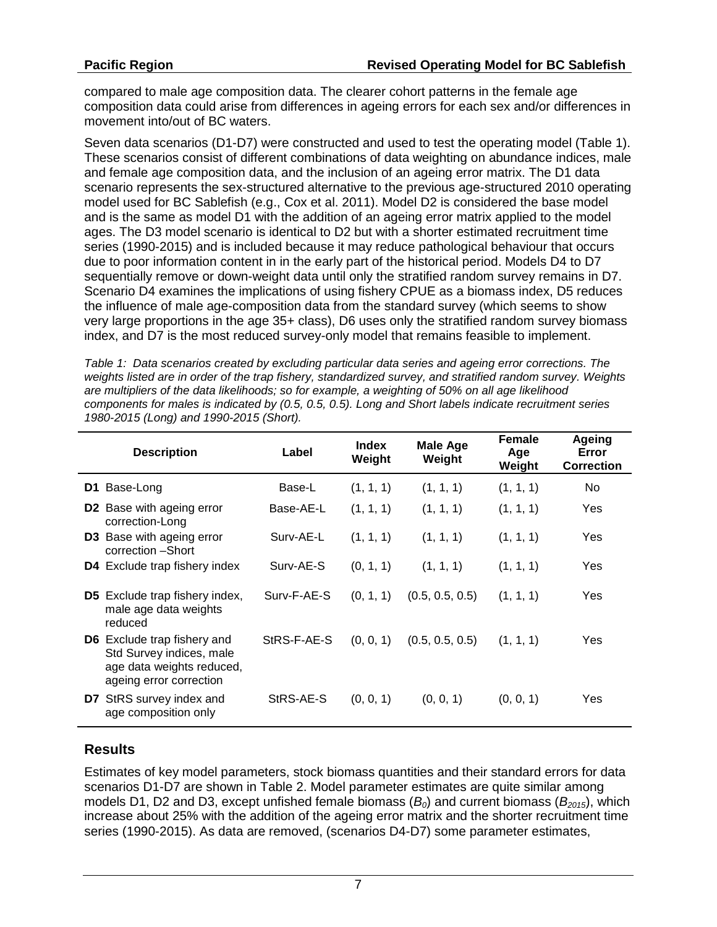compared to male age composition data. The clearer cohort patterns in the female age composition data could arise from differences in ageing errors for each sex and/or differences in movement into/out of BC waters.

Seven data scenarios (D1-D7) were constructed and used to test the operating model (Table 1). These scenarios consist of different combinations of data weighting on abundance indices, male and female age composition data, and the inclusion of an ageing error matrix. The D1 data scenario represents the sex-structured alternative to the previous age-structured 2010 operating model used for BC Sablefish (e.g., Cox et al. 2011). Model D2 is considered the base model and is the same as model D1 with the addition of an ageing error matrix applied to the model ages. The D3 model scenario is identical to D2 but with a shorter estimated recruitment time series (1990-2015) and is included because it may reduce pathological behaviour that occurs due to poor information content in in the early part of the historical period. Models D4 to D7 sequentially remove or down-weight data until only the stratified random survey remains in D7. Scenario D4 examines the implications of using fishery CPUE as a biomass index, D5 reduces the influence of male age-composition data from the standard survey (which seems to show very large proportions in the age 35+ class), D6 uses only the stratified random survey biomass index, and D7 is the most reduced survey-only model that remains feasible to implement.

*Table 1: Data scenarios created by excluding particular data series and ageing error corrections. The weights listed are in order of the trap fishery, standardized survey, and stratified random survey. Weights are multipliers of the data likelihoods; so for example, a weighting of 50% on all age likelihood components for males is indicated by (0.5, 0.5, 0.5). Long and Short labels indicate recruitment series 1980-2015 (Long) and 1990-2015 (Short).*

| <b>Description</b> |                                                                                                                        | Label       | <b>Index</b><br>Weight | <b>Male Age</b><br>Weight | Female<br>Age<br>Weight | Ageing<br>Error<br><b>Correction</b> |
|--------------------|------------------------------------------------------------------------------------------------------------------------|-------------|------------------------|---------------------------|-------------------------|--------------------------------------|
| D1                 | Base-Long                                                                                                              | Base-L      | (1, 1, 1)              | (1, 1, 1)                 | (1, 1, 1)               | No.                                  |
| D <sub>2</sub>     | Base with ageing error<br>correction-Long                                                                              | Base-AE-L   | (1, 1, 1)              | (1, 1, 1)                 | (1, 1, 1)               | Yes                                  |
|                    | <b>D3</b> Base with ageing error<br>correction -Short                                                                  | Surv-AE-L   | (1, 1, 1)              | (1, 1, 1)                 | (1, 1, 1)               | Yes                                  |
|                    | D4 Exclude trap fishery index                                                                                          | Surv-AE-S   | (0, 1, 1)              | (1, 1, 1)                 | (1, 1, 1)               | Yes                                  |
| D5.                | Exclude trap fishery index,<br>male age data weights<br>reduced                                                        | Surv-F-AE-S | (0, 1, 1)              | (0.5, 0.5, 0.5)           | (1, 1, 1)               | Yes                                  |
|                    | <b>D6</b> Exclude trap fishery and<br>Std Survey indices, male<br>age data weights reduced,<br>ageing error correction | StRS-F-AE-S | (0, 0, 1)              | (0.5, 0.5, 0.5)           | (1, 1, 1)               | Yes                                  |
|                    | <b>D7</b> StRS survey index and<br>age composition only                                                                | StRS-AE-S   | (0, 0, 1)              | (0, 0, 1)                 | (0, 0, 1)               | Yes                                  |

## **Results**

Estimates of key model parameters, stock biomass quantities and their standard errors for data scenarios D1-D7 are shown in Table 2. Model parameter estimates are quite similar among models D1, D2 and D3, except unfished female biomass  $(B<sub>0</sub>)$  and current biomass  $(B<sub>2015</sub>)$ , which increase about 25% with the addition of the ageing error matrix and the shorter recruitment time series (1990-2015). As data are removed, (scenarios D4-D7) some parameter estimates,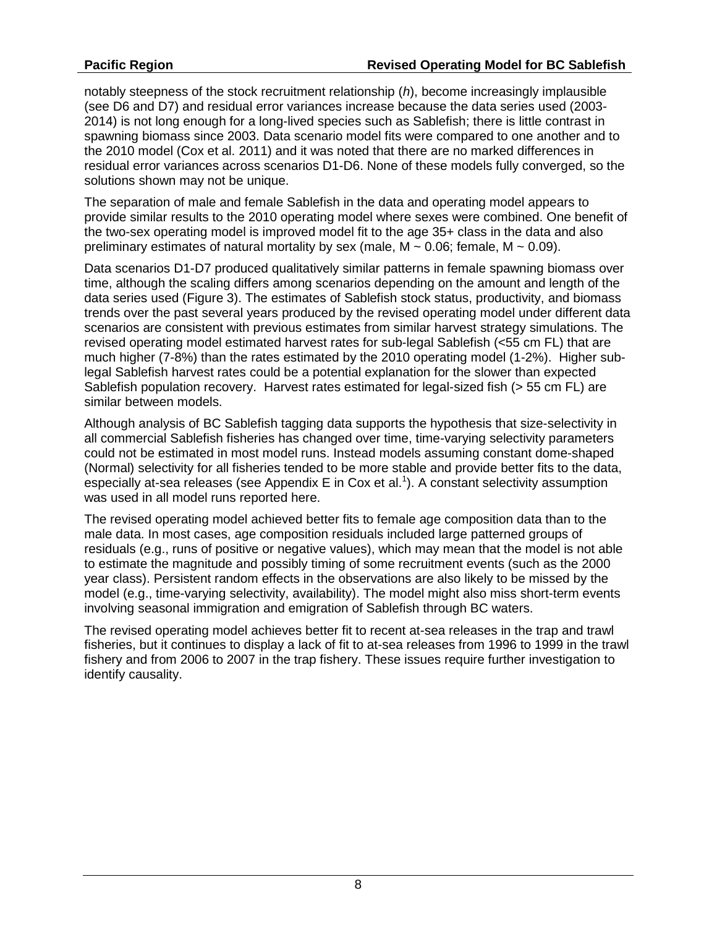notably steepness of the stock recruitment relationship (*h*), become increasingly implausible (see D6 and D7) and residual error variances increase because the data series used (2003- 2014) is not long enough for a long-lived species such as Sablefish; there is little contrast in spawning biomass since 2003. Data scenario model fits were compared to one another and to the 2010 model (Cox et al. 2011) and it was noted that there are no marked differences in residual error variances across scenarios D1-D6. None of these models fully converged, so the solutions shown may not be unique.

The separation of male and female Sablefish in the data and operating model appears to provide similar results to the 2010 operating model where sexes were combined. One benefit of the two-sex operating model is improved model fit to the age 35+ class in the data and also preliminary estimates of natural mortality by sex (male,  $M \sim 0.06$ ; female,  $M \sim 0.09$ ).

Data scenarios D1-D7 produced qualitatively similar patterns in female spawning biomass over time, although the scaling differs among scenarios depending on the amount and length of the data series used (Figure 3). The estimates of Sablefish stock status, productivity, and biomass trends over the past several years produced by the revised operating model under different data scenarios are consistent with previous estimates from similar harvest strategy simulations. The revised operating model estimated harvest rates for sub-legal Sablefish (<55 cm FL) that are much higher (7-8%) than the rates estimated by the 2010 operating model (1-2%). Higher sublegal Sablefish harvest rates could be a potential explanation for the slower than expected Sablefish population recovery. Harvest rates estimated for legal-sized fish (> 55 cm FL) are similar between models.

Although analysis of BC Sablefish tagging data supports the hypothesis that size-selectivity in all commercial Sablefish fisheries has changed over time, time-varying selectivity parameters could not be estimated in most model runs. Instead models assuming constant dome-shaped (Normal) selectivity for all fisheries tended to be more stable and provide better fits to the data, especially at-sea releases (see Appendix E in Cox et al.<sup>1</sup>). A constant selectivity assumption was used in all model runs reported here.

The revised operating model achieved better fits to female age composition data than to the male data. In most cases, age composition residuals included large patterned groups of residuals (e.g., runs of positive or negative values), which may mean that the model is not able to estimate the magnitude and possibly timing of some recruitment events (such as the 2000 year class). Persistent random effects in the observations are also likely to be missed by the model (e.g., time-varying selectivity, availability). The model might also miss short-term events involving seasonal immigration and emigration of Sablefish through BC waters.

The revised operating model achieves better fit to recent at-sea releases in the trap and trawl fisheries, but it continues to display a lack of fit to at-sea releases from 1996 to 1999 in the trawl fishery and from 2006 to 2007 in the trap fishery. These issues require further investigation to identify causality.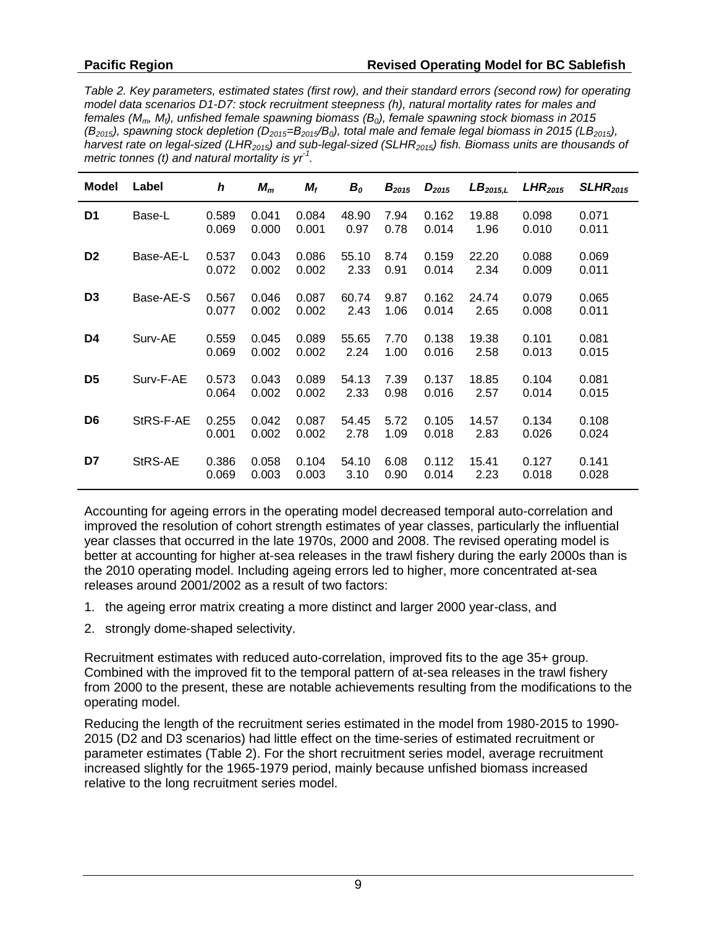*Table 2. Key parameters, estimated states (first row), and their standard errors (second row) for operating model data scenarios D1-D7: stock recruitment steepness (h), natural mortality rates for males and females (Mm, Mf), unfished female spawning biomass (B0), female spawning stock biomass in 2015*   $(B_{2015})$ , spawning stock depletion ( $D_{2015} = B_{2015}/B_0$ ), total male and female legal biomass in 2015 (LB<sub>2015</sub>), *harvest rate on legal-sized (LHR2015) and sub-legal-sized (SLHR2015) fish. Biomass units are thousands of metric tonnes (t) and natural mortality is yr-1 .*

| Model          | Label     | h              | $M_m$          | $M_f$          | $B_o$         | $B_{2015}$   | $D_{2015}$     | LB <sub>2015,L</sub> | LHR <sub>2015</sub> | SLHR <sub>2015</sub> |
|----------------|-----------|----------------|----------------|----------------|---------------|--------------|----------------|----------------------|---------------------|----------------------|
| D1             | Base-L    | 0.589<br>0.069 | 0.041<br>0.000 | 0.084<br>0.001 | 48.90<br>0.97 | 7.94<br>0.78 | 0.162<br>0.014 | 19.88<br>1.96        | 0.098<br>0.010      | 0.071<br>0.011       |
| D <sub>2</sub> | Base-AE-L | 0.537<br>0.072 | 0.043<br>0.002 | 0.086<br>0.002 | 55.10<br>2.33 | 8.74<br>0.91 | 0.159<br>0.014 | 22.20<br>2.34        | 0.088<br>0.009      | 0.069<br>0.011       |
| D <sub>3</sub> | Base-AE-S | 0.567<br>0.077 | 0.046<br>0.002 | 0.087<br>0.002 | 60.74<br>2.43 | 9.87<br>1.06 | 0.162<br>0.014 | 24.74<br>2.65        | 0.079<br>0.008      | 0.065<br>0.011       |
| D4             | Surv-AE   | 0.559<br>0.069 | 0.045<br>0.002 | 0.089<br>0.002 | 55.65<br>2.24 | 7.70<br>1.00 | 0.138<br>0.016 | 19.38<br>2.58        | 0.101<br>0.013      | 0.081<br>0.015       |
| D <sub>5</sub> | Surv-F-AE | 0.573<br>0.064 | 0.043<br>0.002 | 0.089<br>0.002 | 54.13<br>2.33 | 7.39<br>0.98 | 0.137<br>0.016 | 18.85<br>2.57        | 0.104<br>0.014      | 0.081<br>0.015       |
| D <sub>6</sub> | StRS-F-AE | 0.255<br>0.001 | 0.042<br>0.002 | 0.087<br>0.002 | 54.45<br>2.78 | 5.72<br>1.09 | 0.105<br>0.018 | 14.57<br>2.83        | 0.134<br>0.026      | 0.108<br>0.024       |
| D7             | StRS-AE   | 0.386<br>0.069 | 0.058<br>0.003 | 0.104<br>0.003 | 54.10<br>3.10 | 6.08<br>0.90 | 0.112<br>0.014 | 15.41<br>2.23        | 0.127<br>0.018      | 0.141<br>0.028       |

Accounting for ageing errors in the operating model decreased temporal auto-correlation and improved the resolution of cohort strength estimates of year classes, particularly the influential year classes that occurred in the late 1970s, 2000 and 2008. The revised operating model is better at accounting for higher at-sea releases in the trawl fishery during the early 2000s than is the 2010 operating model. Including ageing errors led to higher, more concentrated at-sea releases around 2001/2002 as a result of two factors:

- 1. the ageing error matrix creating a more distinct and larger 2000 year-class, and
- 2. strongly dome-shaped selectivity.

Recruitment estimates with reduced auto-correlation, improved fits to the age 35+ group. Combined with the improved fit to the temporal pattern of at-sea releases in the trawl fishery from 2000 to the present, these are notable achievements resulting from the modifications to the operating model.

Reducing the length of the recruitment series estimated in the model from 1980-2015 to 1990- 2015 (D2 and D3 scenarios) had little effect on the time-series of estimated recruitment or parameter estimates (Table 2). For the short recruitment series model, average recruitment increased slightly for the 1965-1979 period, mainly because unfished biomass increased relative to the long recruitment series model.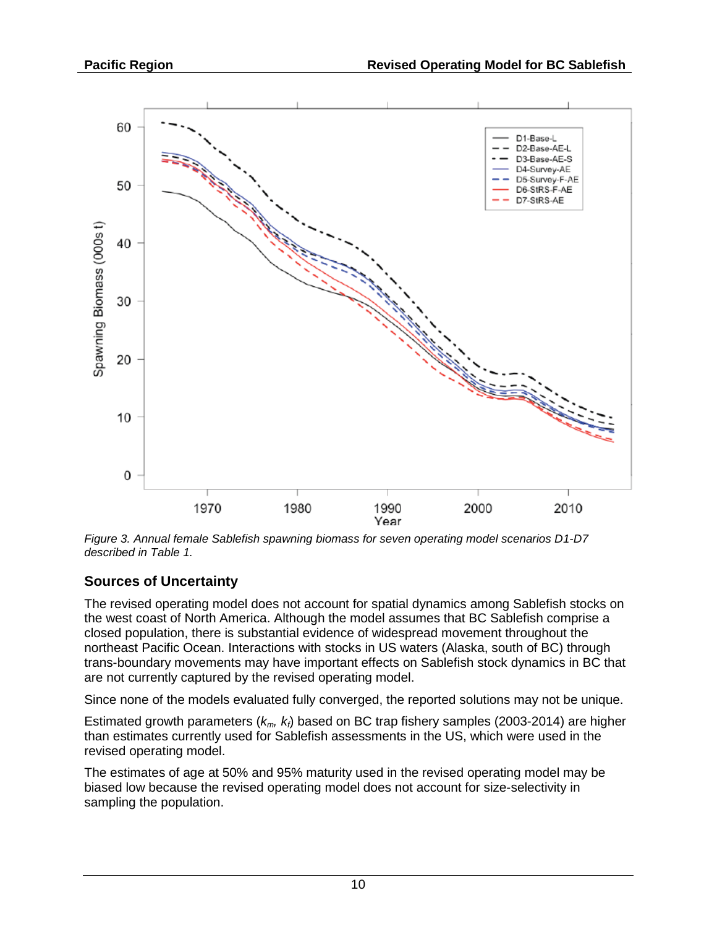

*Figure 3. Annual female Sablefish spawning biomass for seven operating model scenarios D1-D7 described in Table 1.*

### **Sources of Uncertainty**

The revised operating model does not account for spatial dynamics among Sablefish stocks on the west coast of North America. Although the model assumes that BC Sablefish comprise a closed population, there is substantial evidence of widespread movement throughout the northeast Pacific Ocean. Interactions with stocks in US waters (Alaska, south of BC) through trans-boundary movements may have important effects on Sablefish stock dynamics in BC that are not currently captured by the revised operating model.

Since none of the models evaluated fully converged, the reported solutions may not be unique.

Estimated growth parameters ( $k_m$ ,  $k_f$ ) based on BC trap fishery samples (2003-2014) are higher than estimates currently used for Sablefish assessments in the US, which were used in the revised operating model.

The estimates of age at 50% and 95% maturity used in the revised operating model may be biased low because the revised operating model does not account for size-selectivity in sampling the population.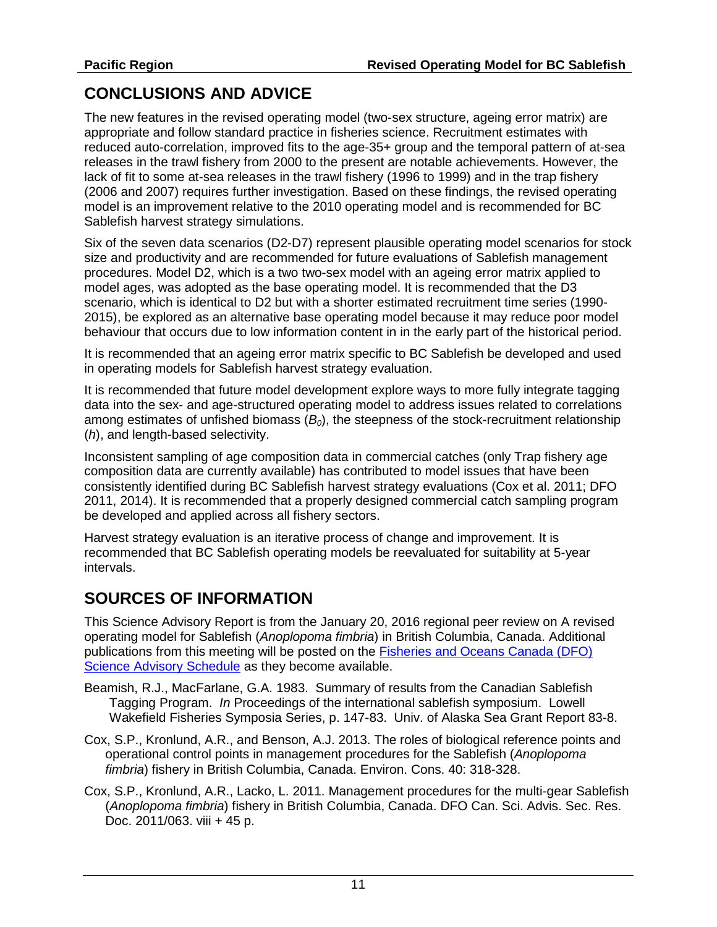# **CONCLUSIONS AND ADVICE**

The new features in the revised operating model (two-sex structure, ageing error matrix) are appropriate and follow standard practice in fisheries science. Recruitment estimates with reduced auto-correlation, improved fits to the age-35+ group and the temporal pattern of at-sea releases in the trawl fishery from 2000 to the present are notable achievements. However, the lack of fit to some at-sea releases in the trawl fishery (1996 to 1999) and in the trap fishery (2006 and 2007) requires further investigation. Based on these findings, the revised operating model is an improvement relative to the 2010 operating model and is recommended for BC Sablefish harvest strategy simulations.

Six of the seven data scenarios (D2-D7) represent plausible operating model scenarios for stock size and productivity and are recommended for future evaluations of Sablefish management procedures. Model D2, which is a two two-sex model with an ageing error matrix applied to model ages, was adopted as the base operating model. It is recommended that the D3 scenario, which is identical to D2 but with a shorter estimated recruitment time series (1990- 2015), be explored as an alternative base operating model because it may reduce poor model behaviour that occurs due to low information content in in the early part of the historical period.

It is recommended that an ageing error matrix specific to BC Sablefish be developed and used in operating models for Sablefish harvest strategy evaluation.

It is recommended that future model development explore ways to more fully integrate tagging data into the sex- and age-structured operating model to address issues related to correlations among estimates of unfished biomass (*B0*), the steepness of the stock-recruitment relationship (*h*), and length-based selectivity.

Inconsistent sampling of age composition data in commercial catches (only Trap fishery age composition data are currently available) has contributed to model issues that have been consistently identified during BC Sablefish harvest strategy evaluations (Cox et al. 2011; DFO 2011, 2014). It is recommended that a properly designed commercial catch sampling program be developed and applied across all fishery sectors.

Harvest strategy evaluation is an iterative process of change and improvement. It is recommended that BC Sablefish operating models be reevaluated for suitability at 5-year intervals.

## **SOURCES OF INFORMATION**

This Science Advisory Report is from the January 20, 2016 regional peer review on A revised operating model for Sablefish (*Anoplopoma fimbria*) in British Columbia, Canada. Additional publications from this meeting will be posted on the [Fisheries and Oceans Canada \(DFO\)](http://www.isdm-gdsi.gc.ca/csas-sccs/applications/events-evenements/index-eng.asp)  [Science Advisory Schedule](http://www.isdm-gdsi.gc.ca/csas-sccs/applications/events-evenements/index-eng.asp) as they become available.

- Beamish, R.J., MacFarlane, G.A. 1983. Summary of results from the Canadian Sablefish Tagging Program. *In* Proceedings of the international sablefish symposium. Lowell Wakefield Fisheries Symposia Series, p. 147-83. Univ. of Alaska Sea Grant Report 83-8.
- Cox, S.P., Kronlund, A.R., and Benson, A.J. 2013. The roles of biological reference points and operational control points in management procedures for the Sablefish (*Anoplopoma fimbria*) fishery in British Columbia, Canada. Environ. Cons. 40: 318-328.
- Cox, S.P., Kronlund, A.R., Lacko, L. 2011. Management procedures for the multi-gear Sablefish (*Anoplopoma fimbria*) fishery in British Columbia, Canada. DFO Can. Sci. Advis. Sec. Res. Doc. 2011/063. viii + 45 p.